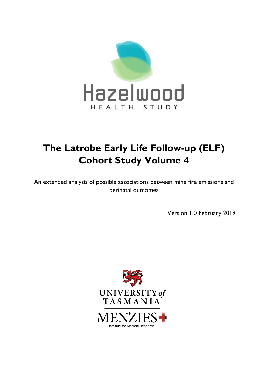

# **The Latrobe Early Life Follow-up (ELF) Cohort Study Volume 4**

An extended analysis of possible associations between mine fire emissions and perinatal outcomes

Version 1.0 February 2019

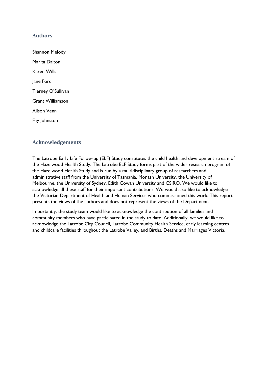## **Authors**

Shannon Melody Marita Dalton Karen Wills Jane Ford Tierney O'Sullivan Grant Williamson Alison Venn Fay Johnston

#### **Acknowledgements**

The Latrobe Early Life Follow-up (ELF) Study constitutes the child health and development stream of the Hazelwood Health Study. The Latrobe ELF Study forms part of the wider research program of the Hazelwood Health Study and is run by a multidisciplinary group of researchers and administrative staff from the University of Tasmania, Monash University, the University of Melbourne, the University of Sydney, Edith Cowan University and CSIRO. We would like to acknowledge all these staff for their important contributions. We would also like to acknowledge the Victorian Department of Health and Human Services who commissioned this work. This report presents the views of the authors and does not represent the views of the Department.

Importantly, the study team would like to acknowledge the contribution of all families and community members who have participated in the study to date. Additionally, we would like to acknowledge the Latrobe City Council, Latrobe Community Health Service, early learning centres and childcare facilities throughout the Latrobe Valley, and Births, Deaths and Marriages Victoria.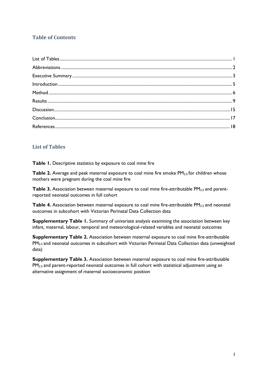# **Table of Contents**

# <span id="page-2-0"></span>**List of Tables**

**Table 1.** Descriptive statistics by exposure to coal mine fire

**Table 2.** Average and peak maternal exposure to coal mine fire smoke PM<sub>2.5</sub> for children whose mothers were pregnant during the coal mine fire

**Table 3.** Association between maternal exposure to coal mine fire-attributable PM<sub>2.5</sub> and parentreported neonatal outcomes in full cohort

**Table 4.** Association between maternal exposure to coal mine fire-attributable PM<sub>2.5</sub> and neonatal outcomes in subcohort with Victorian Perinatal Data Collection data

**Supplementary Table 1.** Summary of univariate analysis examining the association between key infant, maternal, labour, temporal and meteorological-related variables and neonatal outcomes

**Supplementary Table 2.** Association between maternal exposure to coal mine fire-attributable PM2.5 and neonatal outcomes in subcohort with Victorian Perinatal Data Collection data (unweighted data)

**Supplementary Table 3.** Association between maternal exposure to coal mine fire-attributable  $PM<sub>2.5</sub>$  and parent-reported neonatal outcomes in full cohort with statistical adjustment using an alternative assignment of maternal socioeconomic position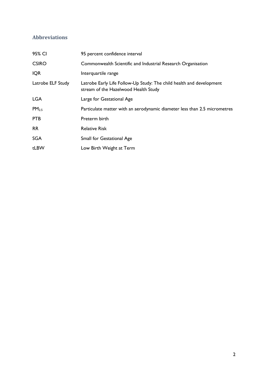# <span id="page-3-0"></span>**Abbreviations**

<span id="page-3-1"></span>

| 95 percent confidence interval                                                                               |
|--------------------------------------------------------------------------------------------------------------|
| Commonwealth Scientific and Industrial Research Organisation                                                 |
| Interquartile range                                                                                          |
| Latrobe Early Life Follow-Up Study: The child health and development<br>stream of the Hazelwood Health Study |
| Large for Gestational Age                                                                                    |
| Particulate matter with an aerodynamic diameter less than 2.5 micrometres                                    |
| Preterm birth                                                                                                |
| <b>Relative Risk</b>                                                                                         |
| Small for Gestational Age                                                                                    |
| Low Birth Weight at Term                                                                                     |
|                                                                                                              |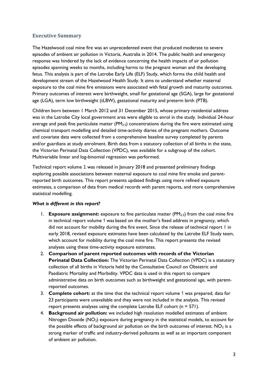# **Executive Summary**

The Hazelwood coal mine fire was an unprecedented event that produced moderate to severe episodes of ambient air pollution in Victoria, Australia in 2014. The public health and emergency response was hindered by the lack of evidence concerning the health impacts of air pollution episodes spanning weeks to months, including harms to the pregnant woman and the developing fetus. This analysis is part of the Latrobe Early Life (ELF) Study, which forms the child health and development stream of the Hazelwood Health Study. It aims to understand whether maternal exposure to the coal mine fire emissions were associated with fetal growth and maturity outcomes. Primary outcomes of interest were birthweight, small for gestational age (SGA), large for gestational age (LGA), term low birthweight (tLBW), gestational maturity and preterm birth (PTB).

Children born between 1 March 2012 and 31 December 2015, whose primary residential address was in the Latrobe City local government area were eligible to enrol in the study. Individual 24-hour average and peak fine particulate matter  $(PM_{2.5})$  concentrations during the fire were estimated using chemical transport modelling and detailed time-activity diaries of the pregnant mothers. Outcome and covariate data were collected from a comprehensive baseline survey completed by parents and/or guardians at study enrolment. Birth data from a statutory collection of all births in the state, the Victorian Perinatal Data Collection (VPDC), was available for a subgroup of the cohort. Multivariable linear and log-binomial regression was performed.

Technical report volume 1 was released in January 2018 and presented preliminary findings exploring possible associations between maternal exposure to coal mine fire smoke and parentreported birth outcomes. This report presents updated findings using more refined exposure estimates, a comparison of data from medical records with parent reports, and more comprehensive statistical modelling.

#### *What is different in this report?*

- 1. **Exposure assignment:** exposure to fine particulate matter (PM2.5) from the coal mine fire in technical report volume 1 was based on the mother's fixed address in pregnancy, which did not account for mobility during the fire event. Since the release of technical report 1 in early 2018, revised exposure estimates have been calculated by the Latrobe ELF Study team, which account for mobility during the coal mine fire. This report presents the revised analyses using these time-activity exposure estimates.
- 2. **Comparison of parent reported outcomes with records of the Victorian Perinatal Data Collection:** The Victorian Perinatal Data Collection (VPDC) is a statutory collection of all births in Victoria held by the Consultative Council on Obstetric and Paediatric Mortality and Morbidity. VPDC data is used in this report to compare administrative data on birth outcomes such as birthweight and gestational age, with parentreported outcomes.
- 3. **Complete cohort:** at the time that the technical report volume 1 was prepared, data for 23 participants were unavailable and they were not included in the analysis. This revised report presents analyses using the complete Latrobe ELF cohort (n = 571).
- 4. **Background air pollution:** we included high resolution modelled estimates of ambient Nitrogen Dioxide  $(NO_2)$  exposure during pregnancy in the statistical models, to account for the possible effects of background air pollution on the birth outcomes of interest.  $NO<sub>2</sub>$  is a strong marker of traffic and industry-derived pollutants as well as an important component of ambient air pollution.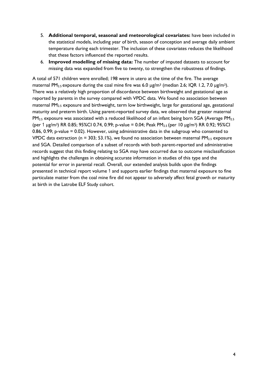- 5. **Additional temporal, seasonal and meteorological covariates:** have been included in the statistical models, including year of birth, season of conception and average daily ambient temperature during each trimester. The inclusion of these covariates reduces the likelihood that these factors influenced the reported results.
- 6. **Improved modelling of missing data:** The number of imputed datasets to account for missing data was expanded from five to twenty, to strengthen the robustness of findings.

<span id="page-5-0"></span>A total of 571 children were enrolled; 198 were in utero at the time of the fire. The average maternal PM<sub>2.5</sub> exposure during the coal mine fire was 6.0  $\mu$ g/m<sup>3</sup> (median 2.6; IQR 1.2, 7.0  $\mu$ g/m<sup>3</sup>). There was a relatively high proportion of discordance between birthweight and gestational age as reported by parents in the survey compared with VPDC data. We found no association between maternal PM2.5 exposure and birthweight, term low birthweight, large for gestational age, gestational maturity and preterm birth. Using parent-reported survey data, we observed that greater maternal PM<sub>2.5</sub> exposure was associated with a reduced likelihood of an infant being born SGA (Average PM<sub>2.5</sub>) (per 1  $\mu$ g/m<sup>3</sup>) RR 0.85; 95%CI 0.74, 0.99; p-value = 0.04; Peak PM<sub>2.5</sub> (per 10  $\mu$ g/m<sup>3</sup>) RR 0.92; 95%CI 0.86, 0.99; p-value = 0.02). However, using administrative data in the subgroup who consented to VPDC data extraction ( $n = 303$ ; 53.1%), we found no association between maternal PM<sub>2.5</sub> exposure and SGA. Detailed comparison of a subset of records with both parent-reported and administrative records suggest that this finding relating to SGA may have occurred due to outcome misclassification and highlights the challenges in obtaining accurate information in studies of this type and the potential for error in parental recall. Overall, our extended analysis builds upon the findings presented in technical report volume 1 and supports earlier findings that maternal exposure to fine particulate matter from the coal mine fire did not appear to adversely affect fetal growth or maturity at birth in the Latrobe ELF Study cohort.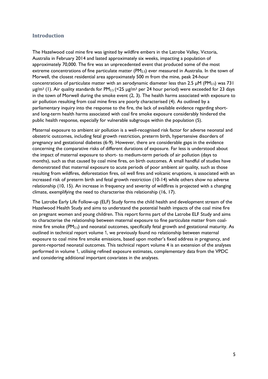### **Introduction**

The Hazelwood coal mine fire was ignited by wildfire embers in the Latrobe Valley, Victoria, Australia in February 2014 and lasted approximately six weeks, impacting a population of approximately 70,000. The fire was an unprecedented event that produced some of the most extreme concentrations of fine particulate matter  $(PM_{2.5})$  ever measured in Australia. In the town of Morwell, the closest residential area approximately 500 m from the mine, peak 24-hour concentrations of particulate matter with an aerodynamic diameter less than 2.5  $\mu$ M (PM<sub>2.5</sub>) was 731  $\mu$ g/m<sup>3</sup> (1). Air quality standards for PM<sub>2.5</sub> (<25  $\mu$ g/m<sup>3</sup> per 24 hour period) were exceeded for 23 days in the town of Morwell during the smoke event (2, 3). The health harms associated with exposure to air pollution resulting from coal mine fires are poorly characterised (4). As outlined by a parliamentary inquiry into the response to the fire, the lack of available evidence regarding shortand long-term health harms associated with coal fire smoke exposure considerably hindered the public health response, especially for vulnerable subgroups within the population (5).

Maternal exposure to ambient air pollution is a well-recognised risk factor for adverse neonatal and obstetric outcomes, including fetal growth restriction, preterm birth, hypertensive disorders of pregnancy and gestational diabetes (6-9). However, there are considerable gaps in the evidence concerning the comparative risks of different durations of exposure. Far less is understood about the impact of maternal exposure to short- to medium-term periods of air pollution (days to months), such as that caused by coal mine fires, on birth outcomes. A small handful of studies have demonstrated that maternal exposure to acute periods of poor ambient air quality, such as those resulting from wildfires, deforestation fires, oil well fires and volcanic eruptions, is associated with an increased risk of preterm birth and fetal growth restriction (10-14) while others show no adverse relationship (10, 15). An increase in frequency and severity of wildfires is projected with a changing climate, exemplifying the need to characterise this relationship (16, 17).

The Latrobe Early Life Follow-up (ELF) Study forms the child health and development stream of the Hazelwood Health Study and aims to understand the potential health impacts of the coal mine fire on pregnant women and young children. This report forms part of the Latrobe ELF Study and aims to characterise the relationship between maternal exposure to fine particulate matter from coalmine fire smoke ( $PM_{2.5}$ ) and neonatal outcomes, specifically fetal growth and gestational maturity. As outlined in technical report volume 1, we previously found no relationship between maternal exposure to coal mine fire smoke emissions, based upon mother's fixed address in pregnancy, and parent-reported neonatal outcomes. This technical report volume 4 is an extension of the analyses performed in volume 1, utilising refined exposure estimates, complementary data from the VPDC and considering additional important covariates in the analyses.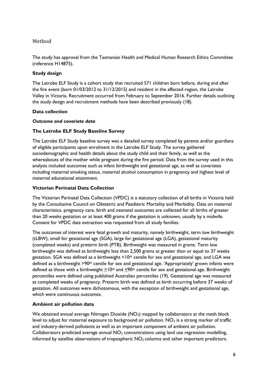# <span id="page-7-0"></span>**Method**

The study has approval from the Tasmanian Health and Medical Human Research Ethics Committee (reference H14875).

#### **Study design**

The Latrobe ELF Study is a cohort study that recruited 571 children born before, during and after the fire event (born 01/03/2012 to 31/12/2015) and resident in the affected region, the Latrobe Valley in Victoria. Recruitment occurred from February to September 2016. Further details outlining the study design and recruitment methods have been described previously (18).

#### **Data collection**

#### *Outcome and covariate data*

## **The Latrobe ELF Study Baseline Survey**

The Latrobe ELF Study baseline survey was a detailed survey completed by parents and/or guardians of eligible participants upon enrolment in the Latrobe ELF Study. The survey gathered sociodemographic and health details about the study child and their family, as well as the whereabouts of the mother while pregnant during the fire period. Data from the survey used in this analysis included outcomes such as infant birthweight and gestational age, as well as covariates including maternal smoking status, maternal alcohol consumption in pregnancy and highest level of maternal educational attainment.

## **Victorian Perinatal Data Collection**

The Victorian Perinatal Data Collection (VPDC) is a statutory collection of all births in Victoria held by the Consultative Council on Obstetric and Paediatric Mortality and Morbidity. Data on maternal characteristics, pregnancy care, birth and neonatal outcomes are collected for all births of greater than 20 weeks gestation or at least 400 grams if the gestation is unknown, usually by a midwife. Consent for VPDC data extraction was requested from all study families.

The outcomes of interest were fetal growth and maturity, namely birthweight, term low birthweight (tLBW), small for gestational age (SGA), large for gestational age (LGA), gestational maturity (completed weeks) and preterm birth (PTB). Birthweight was measured in grams. Term low birthweight was defined as birthweight less than 2,500 grams at greater than or equal to 37 weeks gestation. SGA was defined as a birthweight  $\leq 10$ <sup>th</sup> centile for sex and gestational age, and LGA was defined as a birthweight >90th centile for sex and gestational age. 'Appropriately' grown infants were defined as those with a birthweight  $>10<sup>th</sup>$  and  $< 90<sup>th</sup>$  centile for sex and gestational age. Birthweight percentiles were defined using published Australian percentiles (19). Gestational age was measured as completed weeks of pregnancy. Preterm birth was defined as birth occurring before 37 weeks of gestation. All outcomes were dichotomous, with the exception of birthweight and gestational age, which were continuous outcomes.

#### **Ambient air pollution data**

We obtained annual average Nitrogen Dioxide  $(NO<sub>2</sub>)$  mapped by collaborators at the mesh block level to adjust for maternal exposure to background air pollution.  $NO<sub>2</sub>$  is a strong marker of traffic and industry-derived pollutants as well as an important component of ambient air pollution. Collaborators predicted average annual  $NO<sub>2</sub>$  concentrations using land use regression modelling, informed by satellite observations of tropospheric  $NO<sub>2</sub>$  columns and other important predictors.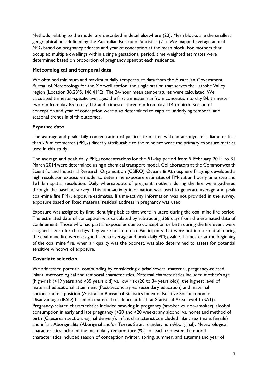Methods relating to the model are described in detail elsewhere (20). Mesh blocks are the smallest geographical unit defined by the Australian Bureau of Statistics (21). We mapped average annual NO<sub>2</sub> based on pregnancy address and year of conception at the mesh block. For mothers that occupied multiple dwellings within a single gestational period, time weighted estimates were determined based on proportion of pregnancy spent at each residence.

## **Meteorological and temporal data**

We obtained minimum and maximum daily temperature data from the Australian Government Bureau of Meteorology for the Morwell station, the single station that serves the Latrobe Valley region (Location 38.230S, 146.410E). The 24-hour mean temperatures were calculated. We calculated trimester-specific averages: the first trimester ran from conception to day 84, trimester two ran from day 85 to day 113 and trimester three ran from day 114 to birth. Season of conception and year of conception were also determined to capture underlying temporal and seasonal trends in birth outcomes.

## *Exposure data*

The average and peak daily concentration of particulate matter with an aerodynamic diameter less than 2.5 micrometres ( $PM_{2.5}$ ) directly attributable to the mine fire were the primary exposure metrics used in this study.

The average and peak daily PM2.5 concentrations for the 51-day period from 9 February 2014 to 31 March 2014 were determined using a chemical transport model. Collaborators at the Commonwealth Scientific and Industrial Research Organisation (CSIRO) Oceans & Atmosphere Flagship developed a high resolution exposure model to determine exposure estimates of PM<sub>2.5</sub> at an hourly time step and 1x1 km spatial resolution. Daily whereabouts of pregnant mothers during the fire were gathered through the baseline survey. This time-activity information was used to generate average and peak coal-mine fire PM<sub>2.5</sub> exposure estimates. If time-activity information was not provided in the survey, exposure based on fixed maternal residual address in pregnancy was used.

Exposure was assigned by first identifying babies that were in utero during the coal mine fire period. The estimated date of conception was calculated by subtracting 266 days from the estimated date of confinement. Those who had partial exposures due to conception or birth during the fire event were assigned a zero for the days they were not in utero. Participants that were not in utero at all during the coal mine fire were assigned a zero average and peak daily PM<sub>2.5</sub> value. Trimester at the beginning of the coal mine fire, when air quality was the poorest, was also determined to assess for potential sensitive windows of exposure.

# **Covariate selection**

We addressed potential confounding by considering *a priori* several maternal, pregnancy-related, infant, meteorological and temporal characteristics. Maternal characteristics included mother's age (high-risk  $(≤19$  years and  $≥35$  years old) vs. low risk (20 to 34 years old)), the highest level of maternal educational attainment (Post-secondary vs. secondary education) and maternal socioeconomic position (Australian Bureau of Statistics Index of Relative Socioeconomic Disadvantage (IRSD) based on maternal residence at birth at Statistical Area Level 1 (SA1)). Pregnancy-related characteristics included smoking in pregnancy (smoker vs. non-smoker), alcohol consumption in early and late pregnancy (<20 and >20 weeks; any alcohol vs. none) and method of birth (Caesarean section, vaginal delivery). Infant characteristics included infant sex (male, female) and infant Aboriginality (Aboriginal and/or Torres Strait Islander, non-Aboriginal). Meteorological characteristics included the mean daily temperature  $(^{0}C)$  for each trimester. Temporal characteristics included season of conception (winter, spring, summer, and autumn) and year of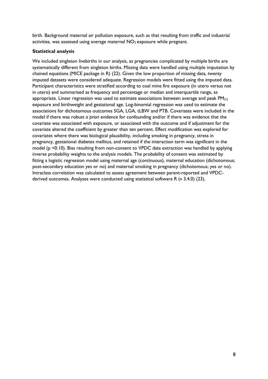birth. Background maternal air pollution exposure, such as that resulting from traffic and industrial activities, was assessed using average maternal  $NO<sub>2</sub>$  exposure while pregnant.

## **Statistical analysis**

We included singleton livebirths in our analysis, as pregnancies complicated by multiple births are systematically different from singleton births. Missing data were handled using multiple imputation by chained equations (MICE package in R) (22). Given the low proportion of missing data, twenty imputed datasets were considered adequate. Regression models were fitted using the imputed data. Participant characteristics were stratified according to coal mine fire exposure (in utero versus not in utero) and summarised as frequency and percentage or median and interquartile range, as appropriate. Linear regression was used to estimate associations between average and peak PM2.5 exposure and birthweight and gestational age. Log-binomial regression was used to estimate the associations for dichotomous outcomes SGA, LGA, tLBW and PTB. Covariates were included in the model if there was robust *a priori* evidence for confounding and/or if there was evidence that the covariate was associated with exposure, or associated with the outcome and if adjustment for the covariate altered the coefficient by greater than ten percent. Effect modification was explored for covariates where there was biological plausibility, including smoking in pregnancy, stress in pregnancy, gestational diabetes mellitus, and retained if the interaction term was significant in the model (p <0.10). Bias resulting from non-consent to VPDC data extraction was handled by applying inverse probability weights to the analysis models. The probability of consent was estimated by fitting a logistic regression model using maternal age (continuous), maternal education (dichotomous; post-secondary education yes or no) and maternal smoking in pregnancy (dichotomous; yes or no). Intraclass correlation was calculated to assess agreement between parent-reported and VPDCderived outcomes. Analyses were conducted using statistical software R (v 3.4.0) (23).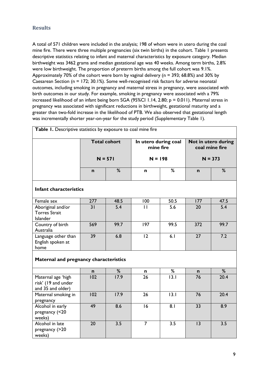# <span id="page-10-0"></span>**Results**

A total of 571 children were included in the analysis; 198 of whom were in utero during the coal mine fire. There were three multiple pregnancies (six twin births) in the cohort. Table 1 presents descriptive statistics relating to infant and maternal characteristics by exposure category. Median birthweight was 3462 grams and median gestational age was 40 weeks. Among term births, 2.8% were low birthweight. The proportion of preterm births among the full cohort was 9.1%. Approximately 70% of the cohort were born by vaginal delivery (n = 393; 68.8%) and 30% by Caesarean Section (n = 172; 30.1%). Some well-recognised risk factors for adverse neonatal outcomes, including smoking in pregnancy and maternal stress in pregnancy, were associated with birth outcomes in our study. For example, smoking in pregnancy were associated with a 79% increased likelihood of an infant being born SGA (95%CI 1.14, 2.80; p = 0.011). Maternal stress in pregnancy was associated with significant reductions in birthweight, gestational maturity and a greater than two-fold increase in the likelihood of PTB. We also observed that gestational length was incrementally shorter year-on-year for the study period (Supplementary Table 1).

|                                                                | <b>Total cohort</b><br>$N = 571$ |                   | In utero during coal<br>mine fire |           |                 | Not in utero during<br>coal mine fire<br>$N = 373$ |  |
|----------------------------------------------------------------|----------------------------------|-------------------|-----------------------------------|-----------|-----------------|----------------------------------------------------|--|
|                                                                |                                  |                   |                                   | $N = 198$ |                 |                                                    |  |
|                                                                | $\mathbf n$                      | %                 | n                                 | %         | $\mathbf n$     | %                                                  |  |
| <b>Infant characteristics</b>                                  |                                  |                   |                                   |           |                 |                                                    |  |
| Female sex                                                     | 277                              | 48.5              | 100                               | 50.5      | 177             | 47.5                                               |  |
| Aboriginal and/or<br><b>Torres Strait</b><br>Islander          | 31                               | 5.4               | $\mathbf{H}$                      | 5.6       | 20              | 5.4                                                |  |
| Country of birth<br>Australia                                  | 569                              | 99.7              | 197                               | 99.5      | 372             | 99.7                                               |  |
| Language other than<br>English spoken at<br>home               | 39                               | 6.8               | $\overline{12}$                   | 6.1       | $\overline{27}$ | 7.2                                                |  |
| Maternal and pregnancy characteristics                         |                                  |                   |                                   |           |                 |                                                    |  |
|                                                                | n                                | %                 | n                                 | %         | n               | %                                                  |  |
| Maternal age 'high<br>risk' (19 and under<br>and 35 and older) | 102                              | $\overline{17.9}$ | 26                                | 13.1      | 76              | 20.4                                               |  |
| Maternal smoking in<br>pregnancy                               | 102                              | 17.9              | 26                                | 13.1      | 76              | 20.4                                               |  |
| Alcohol in early<br>pregnancy (<20<br>weeks)                   | 49                               | 8.6               | 16                                | 8.1       | 33              | 8.9                                                |  |
| Alcohol in late<br>pregnancy (>20<br>weeks)                    | 20                               | 3.5               | $\overline{7}$                    | 3.5       | 13              | 3.5                                                |  |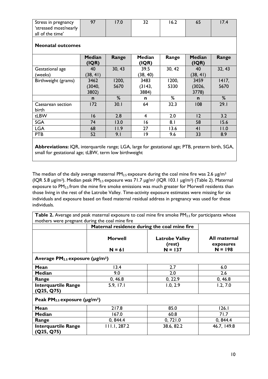| Stress in pregnancy   | 67 | 7.0 | ے ر | 6.2 | 7.4 |
|-----------------------|----|-----|-----|-----|-----|
| 'stressed most/nearly |    |     |     |     |     |
| all of the time'      |    |     |     |     |     |

#### **Neonatal outcomes**

|                     | <b>Median</b><br>(IQR) | Range  | <b>Median</b><br>(IQR) | Range  | <b>Median</b><br>(IQR)   | Range    |
|---------------------|------------------------|--------|------------------------|--------|--------------------------|----------|
| Gestational age     | 40                     | 30, 43 | 39.5                   | 30, 42 | 40                       | 32, 43   |
| (weeks)             | (38, 41)               |        | (38, 40)               |        | (38, 41)                 |          |
| Birthweight (grams) | 3462                   | 1200,  | 3483                   | 1200,  | 3459                     | 1417,    |
|                     | (3040,                 | 5670   | (3143,                 | 5330   | (3026, )                 | 5670     |
|                     | 3802)                  |        | 3884)                  |        | 3778)                    |          |
|                     | n                      | %      | n                      | %      | $\mathbf n$              | %        |
| Caesarean section   | 172                    | 30.1   | 64                     | 32.3   | 108                      | 29.1     |
| birth               |                        |        |                        |        |                          |          |
| tLBW                | 16                     | 2.8    | 4                      | 2.0    | 2                        | 3.2      |
| <b>SGA</b>          | 74                     | 13.0   | 16                     | 8.1    | 58                       | 15.6     |
| <b>LGA</b>          | 68                     | 11.9   | 27                     | 13.6   | 4 <sub>l</sub>           | 11.0     |
| <b>PTB</b>          | 52                     | 9.1    | 19                     | 9.6    | 33                       | 8.9      |
| ---<br>$\sim$       |                        |        |                        |        | <b><u><u>---</u></u></b> | $\cdots$ |

**Abbreviations:** IQR, interquartile range; LGA, large for gestational age; PTB, preterm birth, SGA, small for gestational age; tLBW, term low birthweight

The median of the daily average maternal  $PM_{2.5}$  exposure during the coal mine fire was 2.6 µg/m<sup>3</sup> (IQR 5.8 µg/m3). Median peak PM2.5 exposure was 71.7 µg/m<sup>3</sup> (IQR 103.1 µg/m3) (Table 2). Maternal exposure to PM<sub>2.5</sub> from the mine fire smoke emissions was much greater for Morwell residents than those living in the rest of the Latrobe Valley. Time-activity exposure estimates were missing for six individuals and exposure based on fixed maternal residual address in pregnancy was used for these individuals.

**Table 2.** Average and peak maternal exposure to coal mine fire smoke PM<sub>2.5</sub> for participants whose mothers were pregnant during the coal mine fire

| modiers were pregnant during the coarmine in c         |                                              |                                              |                                        |
|--------------------------------------------------------|----------------------------------------------|----------------------------------------------|----------------------------------------|
|                                                        | Maternal residence during the coal mine fire |                                              |                                        |
|                                                        | <b>Morwell</b><br>$N = 61$                   | <b>Latrobe Valley</b><br>(rest)<br>$N = 137$ | All maternal<br>exposures<br>$N = 198$ |
| Average $PM_{2.5}$ exposure ( $\mu$ g/m <sup>3</sup> ) |                                              |                                              |                                        |
| Mean                                                   | 13.4                                         | 2.7                                          | 6.0                                    |
| <b>Median</b>                                          | 9.0                                          | 2.0                                          | 2.6                                    |
| Range                                                  | 0, 46.8                                      | 0, 22.9                                      | 0, 46.8                                |
| <b>Interquartile Range</b><br>(Q25, Q75)               | 5.9, 17.1                                    | 1.0, 2.9                                     | 1.2, 7.0                               |
| Peak $PM_{2.5}$ exposure ( $\mu$ g/m <sup>3</sup> )    |                                              |                                              |                                        |
| Mean                                                   | 217.8                                        | 85.0                                         | I 26. I                                |
| <b>Median</b>                                          | 167.0                                        | 60.8                                         | 71.7                                   |
| Range                                                  | 0, 844.4                                     | 0, 721.0                                     | 0, 844.4                               |
| <b>Interquartile Range</b><br>(Q25, Q75)               | III.I, 287.2                                 | 38.6, 82.2                                   | 46.7, 149.8                            |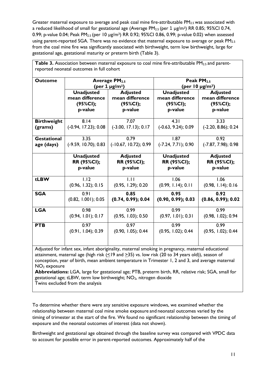Greater maternal exposure to average and peak coal mine fire-attributable  $PM_{2.5}$  was associated with a reduced likelihood of small for gestational age (Average  $PM_{2.5}$  (per 1  $\mu$ g/m<sup>3</sup>) RR 0.85; 95%Cl 0.74, 0.99; p-value 0.04; Peak PM<sub>2.5</sub> (per 10  $\mu$ g/m<sup>3</sup>) RR 0.92; 95%CI 0.86, 0.99; p-value 0.02) when assessed using parent-reported SGA. There was no evidence that maternal exposure to average or peak PM<sub>2.5</sub> from the coal mine fire was significantly associated with birthweight, term low birthweight, large for gestational age, gestational maturity or preterm birth (Table 3).

|                    |                                           | Table 3. Association between maternal exposure to coal mine fire-attributable PM <sub>2.5</sub> and parent- |                                  |                                |
|--------------------|-------------------------------------------|-------------------------------------------------------------------------------------------------------------|----------------------------------|--------------------------------|
|                    | reported neonatal outcomes in full cohort |                                                                                                             |                                  |                                |
| <b>Outcome</b>     |                                           | <b>Average PM2.5</b>                                                                                        |                                  | Peak PM <sub>2.5</sub>         |
|                    |                                           | (per 1 $\mu$ g/m <sup>3</sup> )                                                                             |                                  | (per $10 \mu g/m^3$ )          |
|                    | <b>Unadjusted</b>                         | <b>Adjusted</b>                                                                                             | <b>Unadjusted</b>                | <b>Adjusted</b>                |
|                    | mean difference                           | mean difference                                                                                             | mean difference                  | mean difference                |
|                    | (95%CI);                                  | (95%CI);                                                                                                    | (95%CI);                         | (95%CI);                       |
|                    | p-value                                   | p-value                                                                                                     | p-value                          | p-value                        |
| <b>Birthweight</b> | 8.14                                      | 7.07                                                                                                        | 4.31                             | 3.33                           |
| (grams)            | $(-0.94, 17.23); 0.08$                    | $(-3.00, 17.13); 0.17$                                                                                      | $(-0.63, 9.24); 0.09$            | $(-2.20, 8.86); 0.24$          |
| <b>Gestational</b> | 3.35                                      | 0.79                                                                                                        | 1.87                             | 0.92                           |
| age (days)         | (-9.59, 10.70); 0.83                      | $(-10.67, 10.72); 0.99$                                                                                     | $(-7.24, 7.71); 0.90$            | $(-7.87, 7.98); 0.98$          |
|                    | <b>Unadjusted</b><br>RR (95%Cl);          | <b>Adjusted</b><br>RR (95%Cl);                                                                              | <b>Unadjusted</b><br>RR (95%CI); | <b>Adjusted</b><br>RR (95%Cl); |
|                    | p-value                                   | p-value                                                                                                     | p-value                          | p-value                        |
| tLBW               | 1.12                                      | 1.11                                                                                                        | 1.06                             | 1.06                           |
|                    | (0.96, 1.32); 0.15                        | (0.95, 1.29); 0.20                                                                                          | (0.99, 1.14); 0.11               | (0.98, 1.14); 0.16             |
| <b>SGA</b>         | 0.91                                      | 0.85                                                                                                        | 0.95                             | 0.92                           |
|                    | (0.82, 1.001); 0.05                       | (0.74, 0.99); 0.04                                                                                          | (0.90, 0.99); 0.03               | (0.86, 0.99); 0.02             |
| <b>LGA</b>         | 0.98                                      | 0.99                                                                                                        | 0.99                             | 0.99                           |
|                    | (0.94, 1.01); 0.17                        | (0.95, 1.03); 0.50                                                                                          | (0.97, 1.01); 0.31               | (0.98, 1.02); 0.94             |
| <b>PTB</b>         | 0.97                                      | 0.97                                                                                                        | 0.99                             | 0.99                           |
|                    | (0.91, 1.04); 0.39                        | (0.90, 1.05); 0.44                                                                                          | (0.95, 1.02); 0.44               | (0.95, 1.02); 0.44             |
|                    |                                           |                                                                                                             |                                  |                                |

Adjusted for infant sex, infant aboriginality, maternal smoking in pregnancy, maternal educational attainment, maternal age (high risk (<19 and >35) vs. low risk (20 to 34 years old)), season of conception, year of birth, mean ambient temperature in Trimester 1, 2 and 3, and average maternal  $NO<sub>2</sub>$  exposure

**Abbreviations:** LGA, large for gestational age; PTB, preterm birth, RR, relative risk; SGA, small for gestational age; tLBW, term low birthweight;  $NO<sub>2</sub>$ , nitrogen dioxide Twins excluded from the analysis

To determine whether there were any sensitive exposure windows, we examined whether the relationship between maternal coal mine smoke exposure and neonatal outcomes varied by the timing of trimester at the start of the fire. We found no significant relationship between the timing of exposure and the neonatal outcomes of interest (data not shown).

Birthweight and gestational age obtained through the baseline survey was compared with VPDC data to account for possible error in parent-reported outcomes. Approximately half of the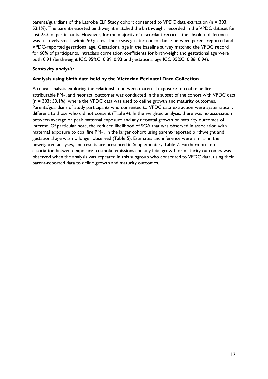parents/guardians of the Latrobe ELF Study cohort consented to VPDC data extraction (n = 303; 53.1%). The parent-reported birthweight matched the birthweight recorded in the VPDC dataset for just 25% of participants. However, for the majority of discordant records, the absolute difference was relatively small, within 50 grams. There was greater concordance between parent-reported and VPDC-reported gestational age. Gestational age in the baseline survey matched the VPDC record for 60% of participants. Intraclass correlation coefficients for birthweight and gestational age were both 0.91 (birthweight ICC 95%CI 0.89, 0.93 and gestational age ICC 95%CI 0.86, 0.94).

### *Sensitivity analysis:*

### **Analysis using birth data held by the Victorian Perinatal Data Collection**

A repeat analysis exploring the relationship between maternal exposure to coal mine fire attributable PM<sub>2.5</sub> and neonatal outcomes was conducted in the subset of the cohort with VPDC data (n = 303; 53.1%), where the VPDC data was used to define growth and maturity outcomes. Parents/guardians of study participants who consented to VPDC data extraction were systematically different to those who did not consent (Table 4). In the weighted analysis, there was no association between average or peak maternal exposure and any neonatal growth or maturity outcomes of interest. Of particular note, the reduced likelihood of SGA that was observed in association with maternal exposure to coal fire PM<sub>2.5</sub> in the larger cohort using parent-reported birthweight and gestational age was no longer observed (Table 5). Estimates and inference were similar in the unweighted analyses, and results are presented in Supplementary Table 2. Furthermore, no association between exposure to smoke emissions and any fetal growth or maturity outcomes was observed when the analysis was repeated in this subgroup who consented to VPDC data, using their parent-reported data to define growth and maturity outcomes.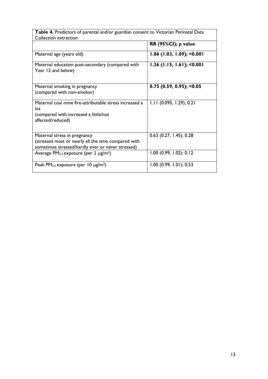| Table 4. Predictors of parental and/or guardian consent to Victorian Perinatal Data<br>Collection extraction                             |                             |  |  |
|------------------------------------------------------------------------------------------------------------------------------------------|-----------------------------|--|--|
|                                                                                                                                          | <b>RR (95%CI); p value</b>  |  |  |
| Maternal age (years old)                                                                                                                 | $1.06$ (1.03, 1.09); <0.001 |  |  |
| Maternal education post-secondary (compared with<br>Year 12 and below)                                                                   | $1.36$ (1.15, 1.61); <0.001 |  |  |
| Maternal smoking in pregnancy<br>(compared with non-smoker)                                                                              | $0.75$ (0.59, 0.95); <0.05  |  |  |
| Maternal coal mine fire-attributable stress increased a<br>lot<br>(compared with increased a little/not<br>affected/reduced)             | $1.11$ (0.095, 1.29); 0.21  |  |  |
| Maternal stress in pregnancy<br>(stressed most or nearly all the time compared with<br>sometimes stressed/hardly ever or never stressed) | $0.63$ (0.27, 1.45); 0.28   |  |  |
| Average $PM_{2.5}$ exposure (per 1 $\mu$ g/m <sup>3</sup> )                                                                              | $1.00$ (0.99, 1.02): 0.12   |  |  |
| Peak PM <sub>2.5</sub> exposure (per 10 $\mu$ g/m <sup>3</sup> )                                                                         | $1.00$ (0.99, 1.01); 0.53   |  |  |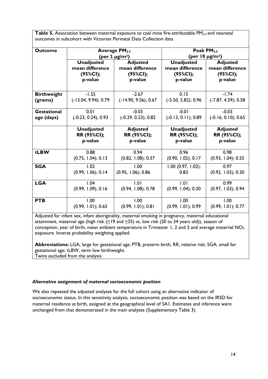**Table 5.** Association between maternal exposure to coal mine fire-attributable PM<sub>2.5</sub> and neonatal outcomes in subcohort with Victorian Perinatal Data Collection data

| <b>Outcome</b>     |                        | <b>Average PM2.5</b><br>(per 1 $\mu$ g/m <sup>3</sup> ) |                       | Peak PM <sub>2.5</sub><br>(per 10 $\mu$ g/m <sup>3</sup> ) |
|--------------------|------------------------|---------------------------------------------------------|-----------------------|------------------------------------------------------------|
|                    | <b>Unadjusted</b>      | <b>Adjusted</b>                                         | <b>Unadjusted</b>     | <b>Adjusted</b>                                            |
|                    | mean difference        | mean difference                                         | mean difference       | mean difference                                            |
|                    | (95%CI);               | (95%CI);                                                | (95%CI);              | (95%CI);                                                   |
|                    | p-value                | p-value                                                 | p-value               | p-value                                                    |
| <b>Birthweight</b> | $-1.55$                | $-2.67$                                                 | 0.15                  | $-1.74$                                                    |
| (grams)            | $(-13.04, 9.94); 0.79$ | $(-14.90, 9.56); 0.67$                                  | $(-5.50, 5.82); 0.96$ | $(-7.87, 4.39); 0.58$                                      |
| <b>Gestational</b> | 0.01                   | $-0.03$                                                 | $-0.01$               | $-0.03$                                                    |
| age (days)         | $(-0.23, 0.24); 0.93$  | $(-0.29, 0.23); 0.82$                                   | $(-0.13, 0.11); 0.89$ | $(-0.16, 0.10); 0.65$                                      |
|                    | <b>Unadjusted</b>      | <b>Adjusted</b>                                         | <b>Unadjusted</b>     | <b>Adjusted</b>                                            |
|                    | RR (95%CI);            | RR (95%CI);                                             | RR (95%CI);           | RR (95%CI);                                                |
|                    | p-value                | p-value                                                 | p-value               | p-value                                                    |
| tLBW               | 0.88                   | 0.94                                                    | 0.96                  | 0.98                                                       |
|                    | (0.75, 1.04); 0.13     | (0.82, 1.08); 0.37                                      | (0.90, 1.02); 0.17    | (0.93, 1.04); 0.55                                         |
| <b>SGA</b>         | 1.02                   | 1.00                                                    | $1.00$ (0.97, 1.02);  | 0.97                                                       |
|                    | (0.99, 1.06); 0.14     | $(0.95, 1.06)$ ; 0.86                                   | 0.83                  | (0.92, 1.03); 0.30                                         |
| <b>LGA</b>         | 1.04                   | 1.01                                                    | 1.01                  | 0.99                                                       |
|                    | (0.99, 1.09); 0.16     | (0.94, 1.08); 0.78                                      | (0.99, 1.04); 0.30    | (0.97, 1.03); 0.94                                         |
| <b>PTB</b>         | 1.00                   | 1.00                                                    | 1.00                  | 1.00                                                       |
|                    | (0.99, 1.01); 0.65     | (0.99, 1.01); 0.81                                      | (0.99, 1.01); 0.99    | (0.99, 1.01); 0.77                                         |

Adjusted for infant sex, infant aboriginality, maternal smoking in pregnancy, maternal educational attainment, maternal age (high risk (<19 and >35) vs. low risk (20 to 34 years old)), season of conception, year of birth, mean ambient temperature in Trimester 1, 2 and 3 and average maternal  $NO<sub>2</sub>$ exposure. Inverse probability weighting applied.

**Abbreviations:** LGA, large for gestational age; PTB, preterm birth, RR, relative risk; SGA, small for gestational age; tLBW, term low birthweight. Twins excluded from the analysis

#### *Alternative assignment of maternal socioeconomic position*

<span id="page-15-0"></span>We also repeated the adjusted analyses for the full cohort using an alternative indicator of socioeconomic status. In this sensitivity analysis, socioeconomic position was based on the IRSD for maternal residence at birth, assigned at the geographical level of SA1. Estimates and inference were unchanged from that demonstrated in the main analyses (Supplementary Table 3).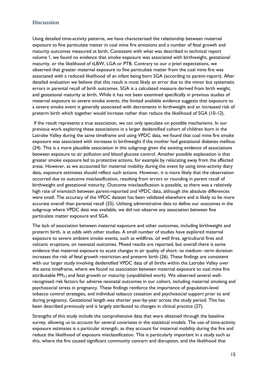#### **Discussion**

Using detailed time-activity patterns, we have characterised the relationship between maternal exposure to fine particulate matter in coal mine fire emissions and a number of fetal growth and maturity outcomes measured at birth. Consistent with what was described in technical report volume 1, we found no evidence that smoke exposure was associated with birthweight, gestational maturity, or the likelihood of tLBW, LGA or PTB. Contrary to our *a priori* expectations, we observed that greater maternal exposure to fine particulate matter from the coal mine fire was associated with a reduced likelihood of an infant being born SGA (according to parent-report). After detailed evaluation we believe that this result is most likely an error due to the minor but systematic errors in parental recall of birth outcomes. SGA is a calculated measure derived from birth weight, and gestational maturity at birth. While it has not been examined specifically in previous studies of maternal exposure to severe smoke events, the limited available evidence suggests that exposure to a severe smoke event is generally associated with decrements in birthweight and an increased risk of preterm birth which together would increase rather than reduce the likelihood of SGA (10-12).

If the result represents a true association, we can only speculate on possible mechanisms. In our previous work exploring these associations in a larger deidentified cohort of children born in the Latrobe Valley during the same timeframe and using VPDC data, we found that coal mine fire smoke exposure was associated with increases in birthweight if the mother had gestational diabetes mellitus (24). This is a more plausible association in this subgroup given the existing evidence of associations between exposure to air pollution and blood glucose control. Another possible explanation is that greater smoke exposure led to protective actions, for example by relocating away from the affected areas. However, as we accounted for maternal mobility during the event by using time-activity diary data, exposure estimates should reflect such actions. However, it is more likely that the observation occurred due to outcome misclassification, resulting from errors or rounding in parent recall of birthweight and gestational maturity. Outcome misclassification is possible, as there was a relatively high rate of mismatch between parent-reported and VPDC data, although the absolute differences were small. The accuracy of the VPDC dataset has been validated elsewhere and is likely to be more accurate overall than parental recall (25). Utilising administrative data to define our outcomes in the subgroup where VPDC data was available, we did not observe any association between fine particulate matter exposure and SGA.

The lack of association between maternal exposure and other outcomes, including birthweight and preterm birth, is at odds with other studies. A small number of studies have explored maternal exposure to severe ambient smoke events, such as wildfires, oil well fires, agricultural fires and volcanic eruptions, on neonatal outcomes. Mixed results are reported, but overall there is some evidence that maternal exposure to acute changes in air quality of short- to medium- term duration increases the risk of fetal growth restriction and preterm birth (26). These findings are consistent with our larger study involving deidentified VPDC data of all births within the Latrobe Valley over the same timeframe, where we found no association between maternal exposure to coal mine fire attributable PM<sub>2.5</sub> and fetal growth or maturity (unpublished work). We observed several wellrecognised risk factors for adverse neonatal outcomes in our cohort, including maternal smoking and psychosocial stress in pregnancy. These findings reinforce the importance of population-level tobacco control strategies, and individual tobacco cessation and psychosocial support prior to and during pregnancy. Gestational length was shorter year-by-year across the study period. This has been described previously and is largely attributed to changes in clinical practice (27).

Strengths of this study include the comprehensive data that were obtained through the baseline survey, allowing us to account for several covariates in the statistical models. The use of time-activity exposure estimates is a particular strength, as they account for maternal mobility during the fire and reduce the likelihood of exposure misclassification. This is particularly important in a study such as this, where the fire caused significant community concern and disruption, and the likelihood that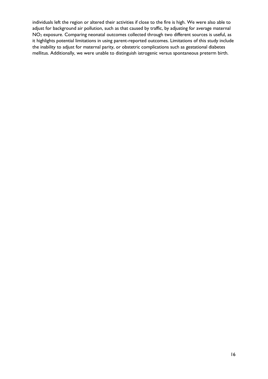<span id="page-17-0"></span>individuals left the region or altered their activities if close to the fire is high. We were also able to adjust for background air pollution, such as that caused by traffic, by adjusting for average maternal NO<sup>2</sup> exposure. Comparing neonatal outcomes collected through two different sources is useful, as it highlights potential limitations in using parent-reported outcomes. Limitations of this study include the inability to adjust for maternal parity, or obstetric complications such as gestational diabetes mellitus. Additionally, we were unable to distinguish iatrogenic versus spontaneous preterm birth.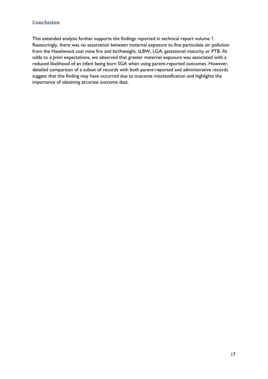# **Conclusion**

<span id="page-18-0"></span>This extended analysis further supports the findings reported in technical report volume 1. Reassuringly, there was no association between maternal exposure to fine particulate air pollution from the Hazelwood coal mine fire and birthweight, tLBW, LGA, gestational maturity or PTB. At odds to *a priori* expectations, we observed that greater maternal exposure was associated with a reduced likelihood of an infant being born SGA when using parent-reported outcomes. However, detailed comparison of a subset of records with both parent-reported and administrative records suggest that this finding may have occurred due to outcome misclassification and highlights the importance of obtaining accurate outcome data.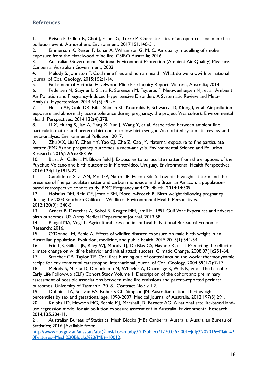## **References**

1. Reisen F, Gillett R, Choi J, Fisher G, Torre P. Characteristics of an open-cut coal mine fire pollution event. Atmospheric Environment. 2017;151:140-51.

2. Emmerson K, Reisen F, Luhar A, Williamson G, M. C. Air quality modelling of smoke exposure from the Hazelwood mine fire. CSIRO Australia; 2016.

3. Australian Government. National Environment Protection (Ambient Air Quality) Measure. Canberra: Australian Government; 2003.

4. Melody S, Johnston F. Coal mine fires and human health: What do we know? International Journal of Coal Geology. 2015;152:1-14.

5. Parliament of Victoria. Hazelwood Mine Fire Inquiry Report. Victoria, Australia; 2014.

6. Pedersen M, Stayner L, Slama R, Sorensen M, Figueras F, Nieuwenhuijsen MJ, et al. Ambient Air Pollution and Pregnancy-Induced Hypertensive Disorders A Systematic Review and Meta-Analysis. Hypertension. 2014;64(3):494-+.

7. Fleisch AF, Gold DR, Rifas-Shiman SL, Koutrakis P, Schwartz JD, Kloog I, et al. Air pollution exposure and abnormal glucose tolerance during pregnancy: the project Viva cohort. Environmental Health Perspectives. 2014;122(4):378.

8. Li X, Huang S, Jiao A, Yang X, Yun J, Wang Y, et al. Association between ambient fine particulate matter and preterm birth or term low birth weight: An updated systematic review and meta-analysis. Environmental Pollution. 2017.

9. Zhu XX, Liu Y, Chen YY, Yao CJ, Che Z, Cao JY. Maternal exposure to fine particulate matter (PM2.5) and pregnancy outcomes: a meta-analysis. Environmental Science and Pollution Research. 2015;22(5):3383-96.

10. Balsa AI, Caffera M, Bloomfield J. Exposures to particulate matter from the eruptions of the Puyehue Volcano and birth outcomes in Montevideo, Uruguay. Environmental Health Perspectives. 2016;124(11):1816-22.

11. Candido da Silva AM, Moi GP, Mattos IE, Hacon Sde S. Low birth weight at term and the presence of fine particulate matter and carbon monoxide in the Brazilian Amazon: a populationbased retrospective cohort study. BMC Pregnancy and Childbirth. 2014;14:309.

12. Holstius DM, Reid CE, Jesdale BM, Morello-Frosch R. Birth weight following pregnancy during the 2003 Southern California Wildfires. Environmental Health Perspectives. 2012;120(9):1340-5.

13. Arnetz B, Drutchas A, Sokol R, Kruger MM, Jamil H. 1991 Gulf War Exposures and adverse birth outcomes. US Army Medical Department journal. 2013:58.

14. Rangel MA, Vogl T. Agricultural fires and infant health. National Bureau of Economic Research; 2016.

15. O'Donnell M, Behie A. Effects of wildfire disaster exposure on male birth weight in an Australian population. Evolution, medicine, and public health. 2015;2015(1):344-54.

16. Fried JS, Gilless JK, Riley WJ, Moody TJ, De Blas CS, Hayhoe K, et al. Predicting the effect of climate change on wildfire behavior and initial attack success. Climatic Change. 2008;87(1):251-64.

17. Stracher GB, Taylor TP. Coal fires burning out of control around the world: thermodynamic recipe for environmental catastrophe. International Journal of Coal Geology. 2004;59(1-2):7-17.

18. Melody S, Marita D, Dennekamp M, Wheeler A, Dharmage S, Wills K, et al. The Latrobe Early Life Follow-up (ELF) Cohort Study Volume 1: Description of the cohort and preliminary assessment of possible associations between mine fire emissions and parent-reported perinatal outcomes. University of Tasmania; 2018. Contract No.: v 1.2.

19. Dobbins TA, Sullivan EA, Roberts CL, Simpson JM. Australian national birthweight percentiles by sex and gestational age, 1998-2007. Medical Journal of Australia. 2012;197(5):291.

20. Knibbs LD, Hewson MG, Bechle MJ, Marshall JD, Barnett AG. A national satellite-based landuse regression model for air pollution exposure assessment in Australia. Environmental Research. 2014;135:204-11.

21. Australian Bureau of Statistics. Mesh Blocks (MB) Canberra, Australia: Australian Bureau of Statistics; 2016 [Available from:

[http://www.abs.gov.au/ausstats/abs@.nsf/Lookup/by%20Subject/1270.0.55.001~July%202016~Main%2](http://www.abs.gov.au/ausstats/abs@.nsf/Lookup/by%20Subject/1270.0.55.001~July%202016~Main%20Features~Mesh%20Blocks%20(MB)~10012) [0Features~Mesh%20Blocks%20\(MB\)~10012.](http://www.abs.gov.au/ausstats/abs@.nsf/Lookup/by%20Subject/1270.0.55.001~July%202016~Main%20Features~Mesh%20Blocks%20(MB)~10012)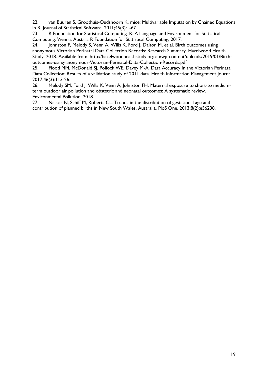22. van Buuren S, Groothuis-Oudshoorn K. mice: Multivariable Imputation by Chained Equations in R. Journal of Statistical Software. 2011;45(3):1-67.

23. R Foundation for Statistical Computing. R: A Language and Environment for Statistical Computing. Vienna, Austria: R Foundation for Statistical Computing; 2017.

24. Johnston F, Melody S, Venn A, Wills K, Ford J, Dalton M, et al. Birth outcomes using anonymous Victorian Perinatal Data Collection Records: Research Summary. Hazelwood Health Study; 2018. Available from: http://hazelwoodhealthstudy.org.au/wp-content/uploads/2019/01/Birthoutcomes-using-anonymous-Victorian-Perinatal-Data-Collection-Records.pdf

25. Flood MM, McDonald SJ, Pollock WE, Davey M-A. Data Accuracy in the Victorian Perinatal Data Collection: Results of a validation study of 2011 data. Health Information Management Journal. 2017;46(3):113-26.

26. Melody SM, Ford J, Wills K, Venn A, Johnston FH. Maternal exposure to short-to mediumterm outdoor air pollution and obstetric and neonatal outcomes: A systematic review. Environmental Pollution. 2018.

27. Nassar N, Schiff M, Roberts CL. Trends in the distribution of gestational age and contribution of planned births in New South Wales, Australia. PloS One. 2013;8(2):e56238.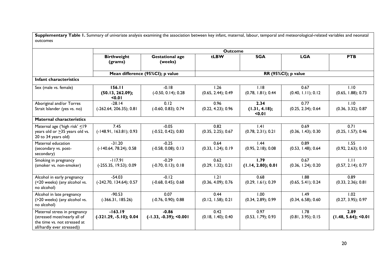| Supplementary Table 1. Summary of univariate analysis examining the association between key infant, maternal, labour, temporal and meteorological-related variables and neonatal<br>outcomes |                                       |                                      |                            |                                 |                            |                               |
|----------------------------------------------------------------------------------------------------------------------------------------------------------------------------------------------|---------------------------------------|--------------------------------------|----------------------------|---------------------------------|----------------------------|-------------------------------|
|                                                                                                                                                                                              |                                       |                                      | <b>Outcome</b>             |                                 |                            |                               |
|                                                                                                                                                                                              | <b>Birthweight</b><br>(grams)         | <b>Gestational age</b><br>(weeks)    | tLBW                       | <b>SGA</b>                      | <b>LGA</b>                 | <b>PTB</b>                    |
|                                                                                                                                                                                              |                                       | Mean difference (95%CI); p value     |                            |                                 | RR (95%CI); p value        |                               |
| Infant characteristics                                                                                                                                                                       |                                       |                                      |                            |                                 |                            |                               |
| Sex (male vs. female)                                                                                                                                                                        | 156.11<br>(50.13, 262.09);<br>0.01    | $-0.18$<br>$(-0.50, 0.14); 0.28$     | 1.26<br>(0.65, 2.44); 0.49 | 1.18<br>(0.78, 1.81); 0.44      | 0.67<br>(0.40, 1.11); 0.12 | 1.10<br>(0.65, 1.88); 0.73    |
| Aboriginal and/or Torres<br>Strait Islander (yes vs. no)                                                                                                                                     | $-28.14$<br>$(-262.64, 206.35); 0.81$ | 0.12<br>$(-0.60, 0.83); 0.74$        | 0.96<br>(0.22, 4.23); 0.96 | 2.34<br>(1.31, 4.18);<br>< 0.01 | 0.77<br>(0.25, 2.34); 0.64 | 1.10<br>(0.36, 3.32); 0.87    |
| <b>Maternal characteristics</b>                                                                                                                                                              |                                       |                                      |                            |                                 |                            |                               |
| Maternal age ('high risk' $\leq$ 19<br>years old or $\geq$ 35 years old vs.<br>20 to 34 years old)                                                                                           | 7.45<br>$(-148.91, 163.81); 0.93$     | $-0.05$<br>$(-0.52, 0.42); 0.83$     | 0.82<br>(0.35, 2.25); 0.67 | .4 <br>(0.78, 2.31); 0.21       | 0.69<br>(0.36, 1.43); 0.30 | 0.71<br>(0.25, 1.57); 0.46    |
| Maternal education<br>(secondary vs. post-<br>secondary)                                                                                                                                     | $-31.20$<br>$(-140.64, 78.24); 0.58$  | $-0.25$<br>$(-0.58, 0.08); 0.13$     | 0.64<br>(0.33, 1.24); 0.19 | 1.44<br>(0.95, 2.18); 0.08      | 0.89<br>(0.53, 1.48); 0.64 | 1.55<br>(0.92, 2.63); 0.10    |
| Smoking in pregnancy<br>(smoker vs. non-smoker)                                                                                                                                              | $-117.91$<br>$(-255.35, 19.53); 0.09$ | $-0.29$<br>$(-0.70, 0.13)$ ; 0.18    | 0.62<br>(0.29, 1.32); 0.21 | 1.79<br>(1.14, 2.80); 0.01      | 0.67<br>(0.36, 1.24); 0.20 | 1.11<br>(0.57, 2.14); 0.77    |
| Alcohol in early pregnancy<br>(<20 weeks) (any alcohol vs.<br>no alcohol)                                                                                                                    | $-54.03$<br>(-242.70, 134.64); 0.57   | $-0.12$<br>$(-0.68, 0.45); 0.68$     | 1.21<br>(0.36, 4.09); 0.76 | 0.68<br>(0.29, 1.61); 0.39      | 1.88<br>(0.65, 5.41); 0.24 | 0.89<br>$(0.33, 2.36)$ ; 0.81 |
| Alcohol in late pregnancy<br>(>20 weeks) (any alcohol vs.<br>no alcohol)                                                                                                                     | $-90.53$<br>$(-366.31, 185.26)$       | 0.07<br>$(-0.76, 0.90); 0.88$        | 0.44<br>(0.12, 1.58); 0.21 | 1.00<br>(0.34, 2.89); 0.99      | 1.49<br>(0.34, 6.58); 0.60 | 1.02<br>(0.27, 3.95); 0.97    |
| Maternal stress in pregnancy<br>(stressed most/nearly all of<br>the time vs. not stressed at<br>all/hardly ever stressed))                                                                   | $-163.19$<br>$(-321.29, -5.10); 0.04$ | $-0.86$<br>$(-1.33, -0.39);$ < 0.001 | 0.42<br>(0.18, 1.40); 0.40 | 0.97<br>(0.53, 1.79); 0.93      | 1.78<br>(0.81, 3.95); 0.15 | 2.89<br>$(1.48, 5.64);$ <0.01 |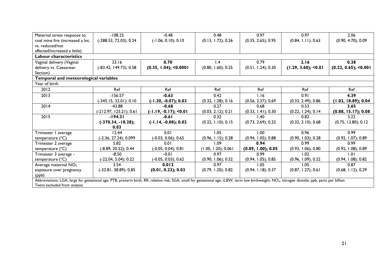| Maternal stress response to                                                                                                                                                                                  | $-108.25$                | $-0.48$                 | 0.48                  | 0.97               | 0.97                  | 2.06                    |
|--------------------------------------------------------------------------------------------------------------------------------------------------------------------------------------------------------------|--------------------------|-------------------------|-----------------------|--------------------|-----------------------|-------------------------|
| coal mine fire (increased a lot.                                                                                                                                                                             | (-288.53, 72.03); 0.24   | $(-1.06, 0.10); 0.10$   | (0.13, 1.72); 0.26    | (0.35, 2.65); 0.95 | (0.84, 1.11); 0.63    | (0.90, 4.70); 0.09      |
| vs. reduced/not                                                                                                                                                                                              |                          |                         |                       |                    |                       |                         |
| affected/increased a little)                                                                                                                                                                                 |                          |                         |                       |                    |                       |                         |
| Labour characteristics                                                                                                                                                                                       |                          |                         |                       |                    |                       |                         |
| Vaginal delivery (Vaginal                                                                                                                                                                                    | 33.16                    | 0.70                    | 1.4                   | 0.79               | 2.16                  | 0.38                    |
| delivery vs. Caesarean                                                                                                                                                                                       | $(-83.42, 149.73); 0.58$ | (0.35, 1.04); 0.0001    | (0.80, 1.60); 0.25    | (0.51, 1.24); 0.30 | (1.29, 3.60); 50.01   | $(0.22, 0.65);$ < 0.001 |
| Section)                                                                                                                                                                                                     |                          |                         |                       |                    |                       |                         |
| Temporal and meteorological variables                                                                                                                                                                        |                          |                         |                       |                    |                       |                         |
| Year of birth                                                                                                                                                                                                |                          |                         |                       |                    |                       |                         |
| 2012                                                                                                                                                                                                         | Ref                      | Ref                     | Ref                   | Ref                | Ref                   | Ref                     |
| 2013                                                                                                                                                                                                         | $-156.57$                | $-0.63$                 | 0.42                  | 1.16               | 0.91                  | 4.39                    |
|                                                                                                                                                                                                              | (-345.15, 32.01); 0.10   | $(-1.20, -0.07); 0.03$  | (0.32, 1.28); 0.16    | (0.56, 2.37); 0.69 | (0.33, 2.49); 0.86    | (1.02, 18.89); 0.04     |
| 2014                                                                                                                                                                                                         | $-43.88$                 | $-0.68$                 | 0.27                  | 0.68               | 0.53                  | 3.65                    |
|                                                                                                                                                                                                              | (-212.97, 125.21); 0.61  | $(-1.19, -0.17);$ <0.01 | $(0.03, 2.12)$ ; 0.21 | (0.33, 1.41); 0.30 | $(0.22, 1.24)$ ; 0.14 | (0.88, 15.17); 0.08     |
| 2015                                                                                                                                                                                                         | $-194.31$                | $-0.61$                 | 0.32                  | 1.40               | 0.82                  | 3.22                    |
|                                                                                                                                                                                                              | $(-370.34, -18.28);$     | $(-1.14, -0.08); 0.02$  | (0.22, 1.10); 0.15    | (0.73, 2.69); 0.32 | (0.32, 2.10); 0.68    | (0.75, 13.80); 0.12     |
|                                                                                                                                                                                                              | 0.03                     |                         |                       |                    |                       |                         |
| Trimester I average                                                                                                                                                                                          | 12.44                    | 0.01                    | 1.05                  | 1.00               | 0.96                  | 0.99                    |
| temperature (°C)                                                                                                                                                                                             | (-2.36, 27.24); 0.099    | $(-0.03, 0.06); 0.65$   | (0.96, 1.15); 0.28    | (0.94, 1.05); 0.88 | (0.90, 1.03); 0.28    | (0.92, 1.07); 0.89      |
| Trimester 2 average                                                                                                                                                                                          | 5.82                     | 0.01                    | 1.09                  | 0.94               | 0.99                  | 0.99                    |
| temperature (°C)                                                                                                                                                                                             | (-8.89, 20.52); 0.44     | $(-0.05, 0.04); 0.81$   | (1.00, 1.20); 0.061   | (0.89, 1.00); 0.05 | (0.93, 1.06); 0.80    | $(0.92, 1.08)$ ; 0.89   |
| Trimester 3 average -                                                                                                                                                                                        | $-8.50$                  | $-0.01$                 | 0.97                  | 0.99               | 1.02                  | 1.01                    |
| temperature $(^{\circ}C)$                                                                                                                                                                                    | (-22.04, 5.04); 0.22     | (-0.05, 0.03); 0.62     | (0.90, 1.06); 0.52    | (0.94, 1.05); 0.85 | (0.96, 1.09); 0.52    | $(0.94, 1.08)$ ; 0.82   |
| Average maternal NO <sub>2</sub>                                                                                                                                                                             | 3.54                     | 0.012                   | 0.97                  | 1.05               | 1.05                  | 0.87                    |
| exposure over pregnancy                                                                                                                                                                                      | $(-32.81, 38.89); 0.85$  | (0.01, 0.23); 0.03      | (0.79, 1.20); 0.82    | (0.94, 1.18); 0.37 | (0.87, 1.27); 0.61    | (0.68, 1.12); 0.29      |
| (ppb)                                                                                                                                                                                                        |                          |                         |                       |                    |                       |                         |
| Abbreviations: LGA, large for gestational age; PTB, preterm birth, RR, relative risk; SGA, small for gestational age; tLBW, term low birthweight; NO <sub>2</sub> , nitrogen dioxide; ppb, parts per billion |                          |                         |                       |                    |                       |                         |
| Twins excluded from analysis                                                                                                                                                                                 |                          |                         |                       |                    |                       |                         |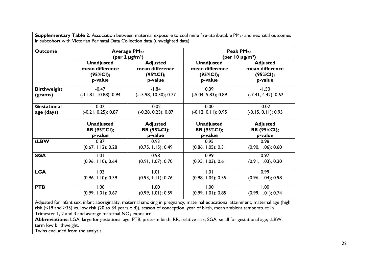| <b>Outcome</b>     |                            | <b>Average PM2.5</b><br>(per 1 $\mu$ g/m <sup>3</sup> ) |                       | Peak $PM2.5$<br>(per 10 µg/m <sup>3</sup> ) |
|--------------------|----------------------------|---------------------------------------------------------|-----------------------|---------------------------------------------|
|                    | <b>Unadjusted</b>          | <b>Adjusted</b>                                         | <b>Unadjusted</b>     | <b>Adjusted</b>                             |
|                    | mean difference            | mean difference                                         | mean difference       | mean difference                             |
|                    | $(95\%CI);$                | $(95\%CI);$                                             | $(95\%CI);$           | $(95\%CI);$                                 |
|                    | p-value                    | p-value                                                 | p-value               | p-value                                     |
| <b>Birthweight</b> | $-0.47$                    | $-1.84$                                                 | 0.39                  | $-1.50$                                     |
| (grams)            | $(-11.81, 10.88); 0.94$    | $(-13.98, 10.30); 0.77$                                 | $(-5.04, 5.83); 0.89$ | $(-7.41, 4.42); 0.62$                       |
| <b>Gestational</b> | 0.02                       | $-0.02$                                                 | 0.00                  | $-0.02$                                     |
| age (days)         | $(-0.21, 0.25); 0.87$      | $(-0.28, 0.23); 0.87$                                   | $(-0.12, 0.11); 0.95$ | $(-0.15, 0.11); 0.95$                       |
|                    | <b>Unadjusted</b>          | <b>Adjusted</b>                                         | <b>Unadjusted</b>     | <b>Adjusted</b>                             |
|                    | RR (95%CI);                | RR (95%CI);                                             | RR (95%Cl);           | RR (95%Cl);                                 |
|                    | p-value                    | p-value                                                 | p-value               | p-value                                     |
| tLBW               | 0.87                       | 0.93                                                    | 0.95                  | 0.98                                        |
|                    | (0.67, 1.12); 0.28         | (0.75, 1.15); 0.49                                      | (0.86, 1.05); 0.31    | (0.90, 1.06); 0.60                          |
| <b>SGA</b>         | 1.01                       | 0.98                                                    | 0.99                  | 0.97                                        |
|                    | (0.96, 1.10); 0.64         | (0.91, 1.07); 0.70                                      | (0.95, 1.03); 0.61    | (0.91, 1.03); 0.30                          |
|                    |                            |                                                         | 1.01                  | 0.99                                        |
| <b>LGA</b>         | 1.03<br>(0.96, 1.10); 0.39 | 1.01<br>(0.93, 1.11); 0.76                              | (0.98, 1.04); 0.55    | (0.96, 1.04); 0.98                          |

**Supplementary Table 2.** Association between maternal exposure to coal mine fire-attributable PM<sub>25</sub> and neonatal outcomes

Adjusted for infant sex, infant aboriginality, maternal smoking in pregnancy, maternal educational attainment, maternal age (high risk (<19 and >35) vs. low risk (20 to 34 years old)), season of conception, year of birth, mean ambient temperature in Trimester 1, 2 and 3 and average maternal  $NO<sub>2</sub>$  exposure

**Abbreviations:** LGA, large for gestational age; PTB, preterm birth, RR, relative risk; SGA, small for gestational age; tLBW, term low birthweight.

Twins excluded from the analysis